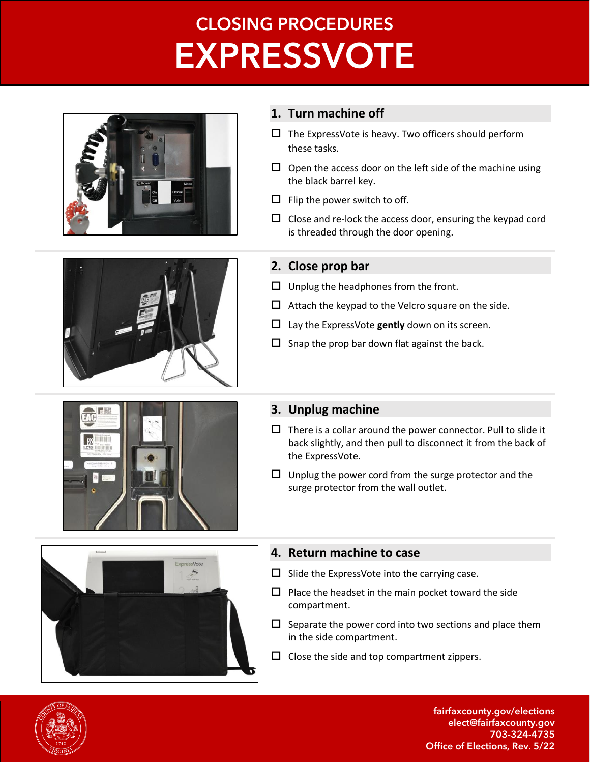# **CLOSING PROCEDURES EXPRESSVOTE**





#### **1. Turn machine off**

- $\Box$  The ExpressVote is heavy. Two officers should perform these tasks.
- $\Box$  Open the access door on the left side of the machine using the black barrel key.
- $\Box$  Flip the power switch to off.
- $\Box$  Close and re-lock the access door, ensuring the keypad cord is threaded through the door opening.

## **2. Close prop bar**

- $\Box$  Unplug the headphones from the front.
- $\Box$  Attach the keypad to the Velcro square on the side.
- $\Box$  Lay the ExpressVote gently down on its screen.
- $\square$  Snap the prop bar down flat against the back.



## **3. Unplug machine**

- $\Box$  There is a collar around the power connector. Pull to slide it back slightly, and then pull to disconnect it from the back of the ExpressVote.
- $\Box$  Unplug the power cord from the surge protector and the surge protector from the wall outlet.



## **4. Return machine to case**

- $\Box$  Slide the ExpressVote into the carrying case.
- $\Box$  Place the headset in the main pocket toward the side compartment.
- $\square$  Separate the power cord into two sections and place them in the side compartment.
- $\square$  Close the side and top compartment zippers.



fairfaxcounty.gov/elections elect@fairfaxcounty.gov 703-324-4735 Office of Elections, Rev. 5/22